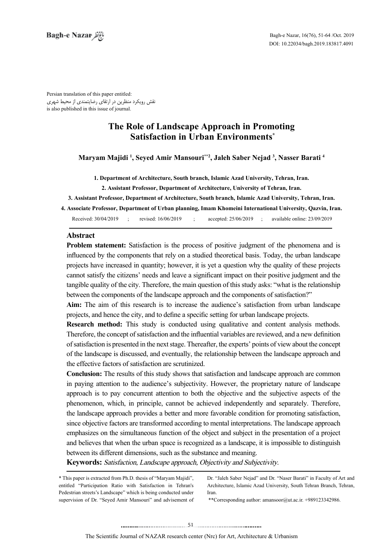Persian translation of this paper entitled: نقش رویکرد منظرین در ارتقای رضایتمندی از محیط شهری is also published in this issue of journal.

# **The Role of Landscape Approach in Promoting Satisfaction in Urban Environments\***

Maryam Majidi <sup>1</sup>, Seyed Amir Mansouri\*\*2, Jaleh Saber Nejad <sup>3</sup>, Nasser Barati <sup>4</sup>

1. Department of Architecture, South branch, Islamic Azad University, Tehran, Iran.

2. Assistant Professor, Department of Architecture, University of Tehran, Iran.

3. Assistant Professor, Department of Architecture, South branch, Islamic Azad University, Tehran, Iran.

**4. Associate Professor, Department of Urban planning, Imam Khomeini International University, Qazvin, Iran.** 

Received: 30/04/2019 ; revised: 16/06/2019 ; accepted: 25/06/2019 ; available online: 23/09/2019

## **Abstract**

**Problem statement:** Satisfaction is the process of positive judgment of the phenomena and is influenced by the components that rely on a studied theoretical basis. Today, the urban landscape projects have increased in quantity; however, it is yet a question why the quality of these projects cannot satisfy the citizens' needs and leave a significant impact on their positive judgment and the tangible quality of the city. Therefore, the main question of this study asks: "what is the relationship between the components of the landscape approach and the components of satisfaction?"

Aim: The aim of this research is to increase the audience's satisfaction from urban landscape projects, and hence the city, and to define a specific setting for urban landscape projects.

**Research method:** This study is conducted using qualitative and content analysis methods. Therefore, the concept of satisfaction and the influential variables are reviewed, and a new definition of satisfaction is presented in the next stage. Thereafter, the experts' points of view about the concept of the landscape is discussed, and eventually, the relationship between the landscape approach and the effective factors of satisfaction are scrutinized.

**Conclusion:** The results of this study shows that satisfaction and landscape approach are common in paying attention to the audience's subjectivity. However, the proprietary nature of landscape approach is to pay concurrent attention to both the objective and the subjective aspects of the phenomenon, which, in principle, cannot be achieved independently and separately. Therefore, the landscape approach provides a better and more favorable condition for promoting satisfaction, since objective factors are transformed according to mental interpretations. The landscape approach emphasizes on the simultaneous function of the object and subject in the presentation of a project and believes that when the urban space is recognized as a landscape, it is impossible to distinguish between its different dimensions, such as the substance and meaning.

**Keywords:** Satisfaction, Landscape approach, Objectivity and Subjectivity.

\* This paper is extracted from Ph.D. thesis of "Maryam Majidi", entitled "Participation Ratio with Satisfaction in Tehran's Pedestrian streets's Landscape" which is being conducted under supervision of Dr. "Seyed Amir Mansouri" and advisement of Dr. "Jaleh Saber Nejad" and Dr. "Naser Barati" in Faculty of Art and Architecture, Islamic Azad University, South Tehran Branch, Tehran, .Iran

 $*$ Corresponding author: amansoor@ut.ac.ir. +989123342986.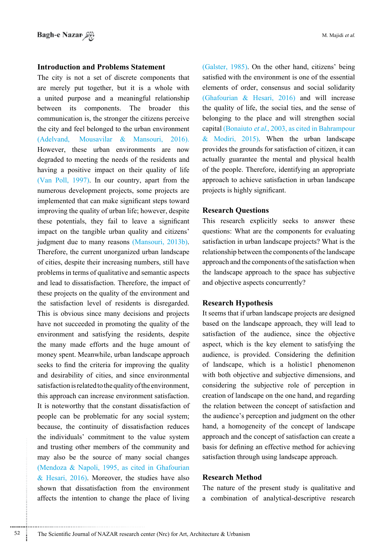# **Introduction and Problems Statement**

The city is not a set of discrete components that are merely put together, but it is a whole with a united purpose and a meaningful relationship between its components. The broader this communication is, the stronger the citizens perceive the city and feel belonged to the urban environment  $(Adelvand, Mousavilar & Mansouri, 2016).$ However, these urban environments are now degraded to meeting the needs of the residents and having a positive impact on their quality of life (Van Poll, 1997). In our country, apart from the numerous development projects, some projects are implemented that can make significant steps toward improving the quality of urban life; however, despite these potentials, they fail to leave a significant impact on the tangible urban quality and citizens' judgment due to many reasons (Mansouri, 2013b). Therefore, the current unorganized urban landscape of cities, despite their increasing numbers, still have problems in terms of qualitative and semantic aspects and lead to dissatisfaction. Therefore, the impact of these projects on the quality of the environment and the satisfaction level of residents is disregarded. This is obvious since many decisions and projects have not succeeded in promoting the quality of the environment and satisfying the residents, despite the many made efforts and the huge amount of money spent. Meanwhile, urban landscape approach seeks to find the criteria for improving the quality and desirability of cities, and since environmental satisfaction is related to the quality of the environment. this approach can increase environment satisfaction. It is noteworthy that the constant dissatisfaction of people can be problematic for any social system; because, the continuity of dissatisfaction reduces the individuals' commitment to the value system and trusting other members of the community and may also be the source of many social changes (Mendoza  $\&$  Napoli, 1995, as cited in Ghafourian  $\&$  Hesari, 2016). Moreover, the studies have also shown that dissatisfaction from the environment affects the intention to change the place of living

(Galster, 1985). On the other hand, citizens' being satisfied with the environment is one of the essential elements of order, consensus and social solidarity (Ghafourian  $\&$  Hesari, 2016) and will increase the quality of life, the social ties, and the sense of belonging to the place and will strengthen social capital (Bonaiuto *et al.*, 2003, as cited in Bahrampour & Modiri, 2015). When the urban landscape provides the grounds for satisfaction of citizen, it can actually guarantee the mental and physical health of the people. Therefore, identifying an appropriate approach to achieve satisfaction in urban landscape projects is highly significant.

### **Research Questions**

This research explicitly seeks to answer these questions: What are the components for evaluating satisfaction in urban landscape projects? What is the relationship between the components of the landscape approach and the components of the satisfaction when the landscape approach to the space has subjective and objective aspects concurrently?

### **Hypothesis Research**

It seems that if urban landscape projects are designed based on the landscape approach, they will lead to satisfaction of the audience, since the objective aspect, which is the key element to satisfying the audience, is provided. Considering the definition of landscape, which is a holistic phenomenon with both objective and subjective dimensions, and considering the subjective role of perception in creation of landscape on the one hand, and regarding the relation between the concept of satisfaction and the audience's perception and judgment on the other hand, a homogeneity of the concept of landscape approach and the concept of satisfaction can create a basis for defining an effective method for achieving satisfaction through using landscape approach.

## **Method Research**

The nature of the present study is qualitative and a combination of analytical-descriptive research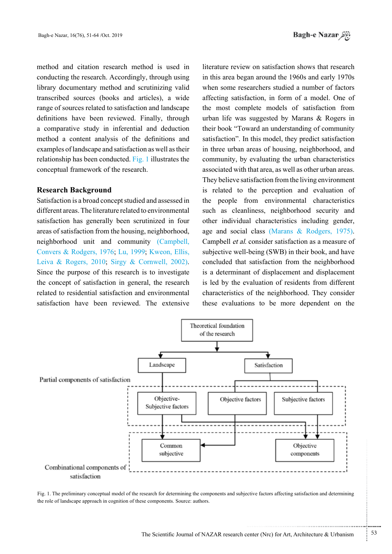method and citation research method is used in conducting the research. Accordingly, through using library documentary method and scrutinizing valid transcribed sources (books and articles), a wide range of sources related to satisfaction and landscape definitions have been reviewed. Finally, through a comparative study in inferential and deduction method a content analysis of the definitions and examples of landscape and satisfaction as well as their relationship has been conducted. Fig. 1 illustrates the conceptual framework of the research.

### **Background Research**

Satisfaction is a broad concept studied and assessed in different areas. The literature related to environmental satisfaction has generally been scrutinized in four areas of satisfaction from the housing, neighborhood, neighborhood unit and community (Campbell, Convers & Rodgers, 1976; Lu, 1999; Kweon, Ellis, Leiva & Rogers, 2010; Sirgy & Cornwell, 2002). Since the purpose of this research is to investigate the concept of satisfaction in general, the research related to residential satisfaction and environmental satisfaction have been reviewed. The extensive

literature review on satisfaction shows that research in this area began around the 1960s and early 1970s when some researchers studied a number of factors affecting satisfaction, in form of a model. One of the most complete models of satisfaction from urban life was suggested by Marans  $\&$  Rogers in their book "Toward an understanding of community satisfaction". In this model, they predict satisfaction in three urban areas of housing, neighborhood, and community, by evaluating the urban characteristics associated with that area, as well as other urban areas. They believe satisfaction from the living environment is related to the perception and evaluation of the people from environmental characteristics such as cleanliness, neighborhood security and other individual characteristics including gender, age and social class (Marans  $& R$  Rodgers, 1975). Campbell *et al.* consider satisfaction as a measure of subjective well-being (SWB) in their book, and have concluded that satisfaction from the neighborhood is a determinant of displacement and displacement is led by the evaluation of residents from different characteristics of the neighborhood. They consider these evaluations to be more dependent on the



Fig. 1. The preliminary conceptual model of the research for determining the components and subjective factors affecting satisfaction and determining the role of landscape approach in cognition of these components. Source: authors.

...........................................................

.......... ....... ........ ........... ...... ....... ........ .......... ...........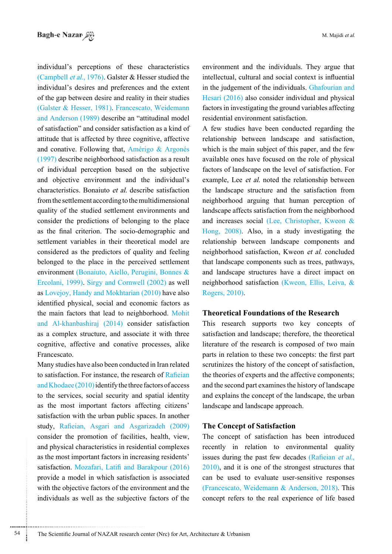individual's perceptions of these characteristics (Campbell et al., 1976). Galster  $\&$  Hesser studied the individual's desires and preferences and the extent of the gap between desire and reality in their studies (Galster & Hesser, 1981). Francescato, Weidemann and Anderson (1989) describe an "attitudinal model of satisfaction" and consider satisfaction as a kind of attitude that is affected by three cognitive, affective and conative. Following that, Amérigo & Argonés  $(1997)$  describe neighborhood satisfaction as a result of individual perception based on the subjective and objective environment and the individual's characteristics. Bonaiuto *et al.* describe satisfaction from the settlement according to the multidimensional quality of the studied settlement environments and consider the predictions of belonging to the place as the final criterion. The socio-demographic and settlement variables in their theoretical model are considered as the predictors of quality and feeling belonged to the place in the perceived settlement environment (Bonaiuto, Aiello, Perugini, Bonnes & Ercolani, 1999). Sirgy and Cornwell (2002) as well as Lovejoy, Handy and Mokhtarian  $(2010)$  have also identified physical, social and economic factors as the main factors that lead to neighborhood. Mohit and Al-khanbashiraj  $(2014)$  consider satisfaction as a complex structure, and associate it with three cognitive, affective and conative processes, alike .Francescato

Many studies have also been conducted in Iran related to satisfaction. For instance, the research of Rafieian and Khodaee  $(2010)$  identify the three factors of access to the services, social security and spatial identity as the most important factors affecting citizens' satisfaction with the urban public spaces. In another study, Rafieian, Asgari and Asgarizadeh (2009) consider the promotion of facilities, health, view, and physical characteristics in residential complexes as the most important factors in increasing residents' satisfaction. Mozafari, Latifi and Barakpour (2016) provide a model in which satisfaction is associated with the objective factors of the environment and the individuals as well as the subjective factors of the

environment and the individuals. They argue that intellectual, cultural and social context is influential in the judgement of the individuals. Ghafourian and Hesari  $(2016)$  also consider individual and physical factors in investigating the ground variables affecting residential environment satisfaction.

A few studies have been conducted regarding the relationship between landscape and satisfaction, which is the main subject of this paper, and the few available ones have focused on the role of physical factors of landscape on the level of satisfaction. For example, Lee et al. noted the relationship between the landscape structure and the satisfaction from neighborhood arguing that human perception of landscape affects satisfaction from the neighborhood and increases social (Lee, Christopher, Kweon  $\&$ Hong,  $2008$ ). Also, in a study investigating the relationship between landscape components and neighborhood satisfaction, Kweon et al. concluded that landscape components such as trees, pathways, and landscape structures have a direct impact on neighborhood satisfaction (Kweon, Ellis, Leiva, & Rogers, 2010).

# **Theoretical Foundations of the Research**

This research supports two key concepts of satisfaction and landscape; therefore, the theoretical literature of the research is composed of two main parts in relation to these two concepts: the first part scrutinizes the history of the concept of satisfaction. the theories of experts and the affective components; and the second part examines the history of landscape and explains the concept of the landscape, the urban landscape and landscape approach.

## **The Concept of Satisfaction**

The concept of satisfaction has been introduced recently in relation to environmental quality issues during the past few decades (Rafieian et al.,  $2010$ ), and it is one of the strongest structures that can be used to evaluate user-sensitive responses (Francescato, Weidemann & Anderson, 2018). This concept refers to the real experience of life based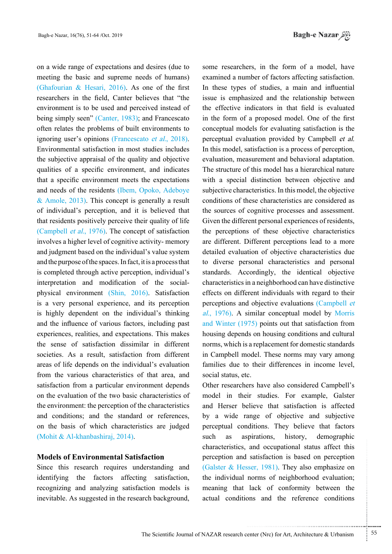*باغإنظ Bagh-e Nazar* 

on a wide range of expectations and desires (due to meeting the basic and supreme needs of humans) (Ghafourian & Hesari, 2016). As one of the first researchers in the field. Canter believes that "the environment is to be used and perceived instead of being simply seen" (Canter, 1983); and Francescato often relates the problems of built environments to ignoring user's opinions (Francescato *et al.*, 2018). Environmental satisfaction in most studies includes the subjective appraisal of the quality and objective qualities of a specific environment, and indicates that a specific environment meets the expectations and needs of the residents (Ibem, Opoko, Adeboye & Amole,  $2013$ ). This concept is generally a result of individual's perception, and it is believed that that residents positively perceive their quality of life (Campbell *et al.*, 1976). The concept of satisfaction involves a higher level of cognitive activity-memory and judgment based on the individual's value system and the purpose of the spaces. In fact, it is a process that is completed through active perception, individual's physical environment (Shin, 2016). Satisfaction interpretation and modification of the socialis a very personal experience, and its perception is highly dependent on the individual's thinking and the influence of various factors, including past experiences, realities, and expectations. This makes the sense of satisfaction dissimilar in different societies. As a result, satisfaction from different areas of life depends on the individual's evaluation from the various characteristics of that area, and satisfaction from a particular environment depends on the evaluation of the two basic characteristics of the environment: the perception of the characteristics and conditions; and the standard or references, on the basis of which characteristics are judged (Mohit & Al-khanbashiraj, 2014).

# **Models of Environmental Satisfaction**

Since this research requires understanding and identifying the factors affecting satisfaction, recognizing and analyzing satisfaction models is inevitable. As suggested in the research background,

some researchers, in the form of a model, have examined a number of factors affecting satisfaction. In these types of studies, a main and influential issue is emphasized and the relationship between the effective indicators in that field is evaluated in the form of a proposed model. One of the first conceptual models for evaluating satisfaction is the perceptual evaluation provided by Campbell et al. In this model, satisfaction is a process of perception, evaluation, measurement and behavioral adaptation. The structure of this model has a hierarchical nature with a special distinction between objective and subjective characteristics. In this model, the objective conditions of these characteristics are considered as the sources of cognitive processes and assessment. Given the different personal experiences of residents, the perceptions of these objective characteristics are different. Different perceptions lead to a more detailed evaluation of objective characteristics due to diverse personal characteristics and personal standards. Accordingly, the identical objective characteristics in a neighborhood can have distinctive effects on different individuals with regard to their perceptions and objective evaluations (Campbell et al., 1976). A similar conceptual model by Morris and Winter  $(1975)$  points out that satisfaction from housing depends on housing conditions and cultural norms, which is a replacement for domestic standards in Campbell model. These norms may vary among families due to their differences in income level, social status, etc.

Other researchers have also considered Campbell's model in their studies. For example, Galster and Herser believe that satisfaction is affected by a wide range of objective and subjective perceptual conditions. They believe that factors such as aspirations, history, demographic characteristics, and occupational status affect this perception and satisfaction is based on perception (Galster & Hesser, 1981). They also emphasize on the individual norms of neighborhood evaluation; meaning that lack of conformity between the actual conditions and the reference conditions

.......... ....... ........ ........... ...... ....... ........ .......... ...........

The Scientific Journal of NAZAR research center (Nrc) for Art, Architecture & Urbanism  $\frac{55}{100}$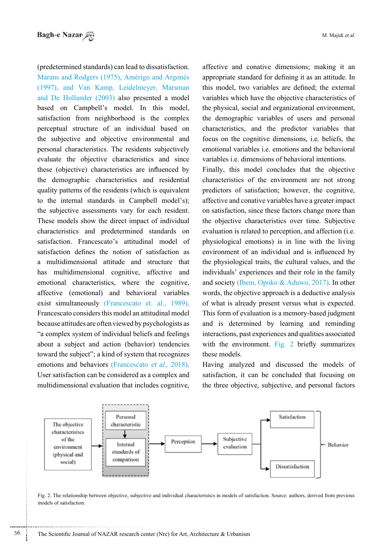(predetermined standards) can lead to dissatisfaction. Marans and Rodgers (1975), Amérigo and Argonés (1997), and Van Kamp, Leidelmeyer, Marsman and De Hollander  $(2003)$  also presented a model based on Campbell's model. In this model, satisfaction from neighborhood is the complex perceptual structure of an individual based on the subjective and objective environmental and personal characteristics. The residents subjectively evaluate the objective characteristics and since these (objective) characteristics are influenced by the demographic characteristics and residential quality patterns of the residents (which is equivalent to the internal standards in Campbell model's); the subjective assessments vary for each resident. These models show the direct impact of individual characteristics and predetermined standards on satisfaction. Francescato's attitudinal model of satisfaction defines the notion of satisfaction as a multidimensional attitude and structure that has multidimensional cognitive, affective and emotional characteristics, where the cognitive, affective (emotional) and behavioral variables exist simultaneously (Francescato et al., 1989). Francescato considers this model an attitudinal model because attitudes are often viewed by psychologists as "a complex system of individual beliefs and feelings about a subject and action (behavior) tendencies toward the subject"; a kind of system that recognizes emotions and behaviors (Francescato *et al.*, 2018). User satisfaction can be considered as a complex and multidimensional evaluation that includes cognitive,

affective and conative dimensions; making it an appropriate standard for defining it as an attitude. In this model, two variables are defined; the external variables which have the objective characteristics of the physical, social and organizational environment, the demographic variables of users and personal characteristics, and the predictor variables that focus on the cognitive dimensions, i.e. beliefs, the emotional variables *i.e.* emotions and the behavioral variables *i.e.* dimensions of behavioral intentions.

Finally, this model concludes that the objective characteristics of the environment are not strong predictors of satisfaction; however, the cognitive, affective and conative variables have a greater impact on satisfaction, since these factors change more than the objective characteristics over time. Subjective evaluation is related to perception, and affection (i.e. physiological emotions) is in line with the living environment of an individual and is influenced by the physiological traits, the cultural values, and the individuals' experiences and their role in the family and society (Ibem, Opoko & Aduwo, 2017). In other words, the objective approach is a deductive analysis of what is already present versus what is expected. This form of evaluation is a memory-based judgment and is determined by learning and reminding interactions, past experiences and qualities associated with the environment. Fig. 2 briefly summarizes these models.

Having analyzed and discussed the models of satisfaction, it can be concluded that focusing on the three objective, subjective, and personal factors



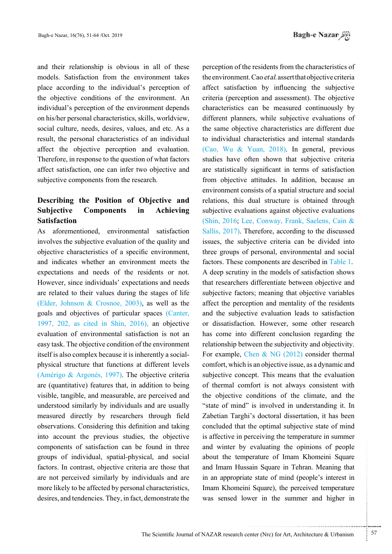and their relationship is obvious in all of these models. Satisfaction from the environment takes place according to the individual's perception of the objective conditions of the environment. An individual's perception of the environment depends on his/her personal characteristics, skills, worldview, social culture, needs, desires, values, and etc. As a result, the personal characteristics of an individual affect the objective perception and evaluation. Therefore, in response to the question of what factors affect satisfaction, one can infer two objective and subjective components from the research.

# **Describing the Position of Objective and Subjective Components in Achieving Satisfaction**

As aforementioned, environmental satisfaction involves the subjective evaluation of the quality and objective characteristics of a specific environment, and indicates whether an environment meets the expectations and needs of the residents or not. However, since individuals' expectations and needs are related to their values during the stages of life (Elder, Johnson & Crosnoe, 2003), as well as the goals and objectives of particular spaces (Canter, 1997, 202, as cited in Shin, 2016), an objective evaluation of environmental satisfaction is not an easy task. The objective condition of the environment physical structure that functions at different levels itself is also complex because it is inherently a social-(Amérigo & Argonés, 1997). The objective criteria are (quantitative) features that, in addition to being visible, tangible, and measurable, are perceived and understood similarly by individuals and are usually measured directly by researchers through field observations. Considering this definition and taking into account the previous studies, the objective components of satisfaction can be found in three groups of individual, spatial-physical, and social factors. In contrast, objective criteria are those that are not perceived similarly by individuals and are more likely to be affected by personal characteristics, desires, and tendencies. They, in fact, demonstrate the

perception of the residents from the characteristics of the environment. Cao *et al*. assert that objective criteria affect satisfaction by influencing the subjective criteria (perception and assessment). The objective characteristics can be measured continuously by different planners, while subjective evaluations of the same objective characteristics are different due to individual characteristics and internal standards  $(Cao, Wu & Yuan, 2018)$ . In general, previous studies have often shown that subjective criteria are statistically significant in terms of satisfaction from objective attitudes. In addition, because an environment consists of a spatial structure and social relations, this dual structure is obtained through subjective evaluations against objective evaluations  $(Shin, 2016, Lee, Conway, Frank, Saelens, Cain &$ Sallis, 2017). Therefore, according to the discussed issues, the subjective criteria can be divided into three groups of personal, environmental and social factors. These components are described in Table 1. A deep scrutiny in the models of satisfaction shows that researchers differentiate between objective and subjective factors; meaning that objective variables affect the perception and mentality of the residents and the subjective evaluation leads to satisfaction or dissatisfaction. However, some other research has come into different conclusion regarding the relationship between the subjectivity and objectivity. For example, Chen & NG  $(2012)$  consider thermal comfort, which is an objective issue, as a dynamic and subjective concept. This means that the evaluation of thermal comfort is not always consistent with the objective conditions of the climate, and the "state of mind" is involved in understanding it. In Zabetian Targhi's doctoral dissertation, it has been concluded that the optimal subjective state of mind is affective in perceiving the temperature in summer and winter by evaluating the opinions of people about the temperature of Imam Khomeini Square and Imam Hussain Square in Tehran. Meaning that in an appropriate state of mind (people's interest in Imam Khomeini Square), the perceived temperature was sensed lower in the summer and higher in

...........................................................

.......... ....... ........ ........... ...... ....... ........ .......... ...........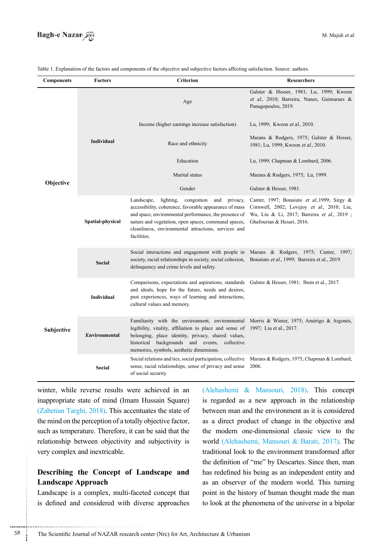

| <b>Components</b> | <b>Factors</b>    | <b>Criterion</b>                                                                                                                                                                                                                                                                                           | <b>Researchers</b>                                                                                                                                                        |
|-------------------|-------------------|------------------------------------------------------------------------------------------------------------------------------------------------------------------------------------------------------------------------------------------------------------------------------------------------------------|---------------------------------------------------------------------------------------------------------------------------------------------------------------------------|
| Objective         | <b>Individual</b> | Age                                                                                                                                                                                                                                                                                                        | Galster & Hesser, 1981; Lu, 1999; Kweon<br>et al., 2010; Barreira, Nunes, Guimaraes &<br>Panagopoulos, 2019.                                                              |
|                   |                   | Income (higher earnings increase satisfaction)                                                                                                                                                                                                                                                             | Lu, 1999; Kweon et al., 2010.                                                                                                                                             |
|                   |                   | Race and ethnicity                                                                                                                                                                                                                                                                                         | Marans & Rodgers, 1975; Galster & Hesser,<br>1981; Lu, 1999; Kweon et al., 2010.                                                                                          |
|                   |                   | Education                                                                                                                                                                                                                                                                                                  | Lu, 1999; Chapman & Lombard, 2006.                                                                                                                                        |
|                   |                   | Marital status                                                                                                                                                                                                                                                                                             | Marans & Rodgers, 1975; Lu, 1999.                                                                                                                                         |
|                   |                   | Gender                                                                                                                                                                                                                                                                                                     | Galster & Hesser, 1981.                                                                                                                                                   |
|                   | Spatial-physical  | Landscape,<br>lighting,<br>congestion<br>and<br>privacy,<br>accessibility, coherence, favorable appearance of mass<br>and space, environmental performance, the presence of<br>nature and vegetation, open spaces, communal spaces,<br>cleanliness, environmental attractions, services and<br>facilities. | Canter, 1997; Bonaiuto et al., 1999; Sirgy $\&$<br>Cornwell, 2002; Lovejoy et al., 2010; Liu,<br>Wu, Liu & Li, 2017; Barreira et al., 2019;<br>Ghafourian & Hesari, 2016. |
|                   | <b>Social</b>     | Social interactions and engagement with people in<br>society, racial relationships in society, social cohesion,<br>delinquency and crime levels and safety.                                                                                                                                                | Marans & Rodgers, 1975; Canter, 1997;<br>Bonaiuto et al., 1999; Barreira et al., 2019.                                                                                    |
| Subjective        | Individual        | Comparisons, expectations and aspirations, standards<br>and ideals, hope for the future, needs and desires,<br>past experiences, ways of learning and interactions,<br>cultural values and memory.                                                                                                         | Galster & Hesser, 1981; Ibem et al., 2017.                                                                                                                                |
|                   | Environmental     | Familiarity with the environment, environmental<br>legibility, vitality, affiliation to place and sense of<br>belonging, place identity, privacy, shared values,<br>historical backgrounds and events, collective<br>memories, symbols, aesthetic dimensions.                                              | Morris & Winter, 1975; Amérigo & Argonés,<br>1997; Liu et al., 2017.                                                                                                      |
|                   | Social            | Social relations and ties, social participation, collective<br>sense, racial relationships, sense of privacy and sense<br>of social security                                                                                                                                                               | Marans & Rodgers, 1975; Chapman & Lombard,<br>2006.                                                                                                                       |

Table 1. Explanation of the factors and components of the objective and subjective factors affecting satisfaction. Source: authors.

winter, while reverse results were achieved in an inappropriate state of mind (Imam Hussain Square)  $(Zabetian Targhi, 2018)$ . This accentuates the state of the mind on the perception of a totally objective factor, such as temperature. Therefore, it can be said that the relationship between objectivity and subjectivity is very complex and inextricable.

# **Describing the Concept of Landscape and Landscape Approach**

Landscape is a complex, multi-faceted concept that is defined and considered with diverse approaches

(Alehashemi & Mansouri, 2018). This concept is regarded as a new approach in the relationship between man and the environment as it is considered as a direct product of change in the objective and the modern one-dimensional classic view to the world (Alehashemi, Mansouri & Barati, 2017). The traditional look to the environment transformed after the definition of "me" by Descartes. Since then, man has redefined his being as an independent entity and as an observer of the modern world. This turning point in the history of human thought made the man to look at the phenomena of the universe in a bipolar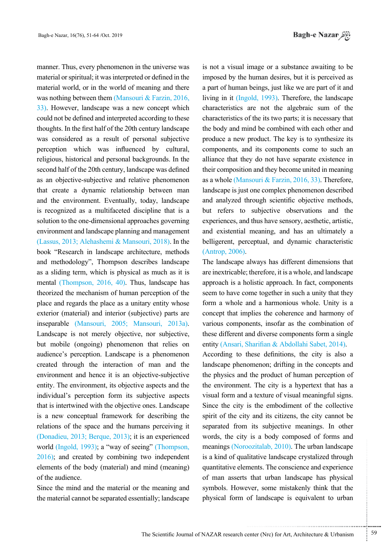manner. Thus, every phenomenon in the universe was material or spiritual; it was interpreted or defined in the material world, or in the world of meaning and there was nothing between them (Mansouri  $& Farzin$ , 2016, 33). However, landscape was a new concept which could not be defined and interpreted according to these thoughts. In the first half of the 20th century landscape was considered as a result of personal subjective perception which was influenced by cultural, religious, historical and personal backgrounds. In the second half of the 20th century, landscape was defined as an objective-subjective and relative phenomenon that create a dynamic relationship between man and the environment. Eventually, today, landscape is recognized as a multifaceted discipline that is a solution to the one-dimensional approaches governing environment and landscape planning and management  $t$  (Lassus, 2013: Alehashemi & Mansouri, 2018). In the book "Research in landscape architecture, methods and methodology", Thompson describes landscape as a sliding term, which is physical as much as it is mental (Thompson, 2016, 40). Thus, landscape has the orized the mechanism of human perception of the place and regards the place as a unitary entity whose exterior (material) and interior (subjective) parts are inseparable (Mansouri, 2005; Mansouri, 2013a). Landscape is not merely objective, nor subjective, but mobile (ongoing) phenomenon that relies on audience's perception. Landscape is a phenomenon created through the interaction of man and the environment and hence it is an objective-subjective entity. The environment, its objective aspects and the individual's perception form its subjective aspects that is intertwined with the objective ones. Landscape is a new conceptual framework for describing the relations of the space and the humans perceiving it (Donadieu, 2013; Berque, 2013); it is an experienced world (Ingold, 1993); a "way of seeing" (Thompson,  $2016$ ; and created by combining two independent elements of the body (material) and mind (meaning) of the audience.

Since the mind and the material or the meaning and the material cannot be separated essentially; landscape is not a visual image or a substance awaiting to be imposed by the human desires, but it is perceived as a part of human beings, just like we are part of it and living in it  $(Ingold, 1993)$ . Therefore, the landscape characteristics are not the algebraic sum of the characteristics of the its two parts; it is necessary that the body and mind be combined with each other and produce a new product. The key is to synthesize its components, and its components come to such an alliance that they do not have separate existence in their composition and they become united in meaning as a whole (Mansouri & Farzin, 2016, 33). Therefore, landscape is just one complex phenomenon described and analyzed through scientific objective methods, but refers to subjective observations and the experiences, and thus have sensory, aesthetic, artistic, and existential meaning, and has an ultimately a belligerent, perceptual, and dynamic characteristic  $(Antrop, 2006)$ .

The landscape always has different dimensions that are inextricable; therefore, it is a whole, and landscape approach is a holistic approach. In fact, components seem to have come together in such a unity that they form a whole and a harmonious whole. Unity is a concept that implies the coherence and harmony of various components, insofar as the combination of these different and diverse components form a single entity (Ansari, Sharifian & Abdollahi Sabet, 2014).

According to these definitions, the city is also a land scape phenomenon; drifting in the concepts and the physics and the product of human perception of the environment. The city is a hypertext that has a visual form and a texture of visual meaningful signs. Since the city is the embodiment of the collective spirit of the city and its citizens, the city cannot be separated from its subjective meanings. In other words, the city is a body composed of forms and meanings (Noroozitalab, 2010). The urban landscape is a kind of qualitative landscape crystalized through quantitative elements. The conscience and experience of man asserts that urban landscape has physical symbols. However, some mistakenly think that the physical form of landscape is equivalent to urban

.......... ....... ........ ........... ...... ....... ........ .......... ...........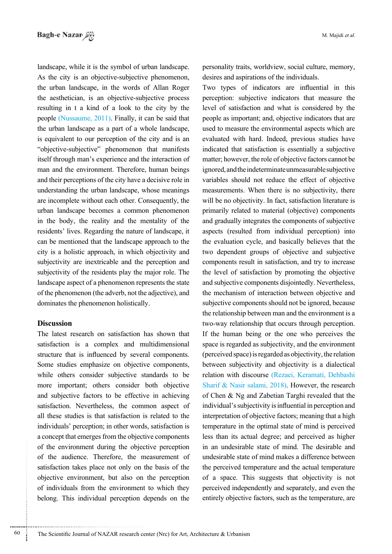landscape, while it is the symbol of urban landscape. As the city is an objective-subjective phenomenon, the urban landscape, in the words of Allan Roger the aesthetician, is an objective-subjective process resulting in t a kind of a look to the city by the people (Nussaume,  $2011$ ). Finally, it can be said that the urban landscape as a part of a whole landscape, is equivalent to our perception of the city and is an "objective-subjective" phenomenon that manifests itself through man's experience and the interaction of man and the environment. Therefore, human beings and their perceptions of the city have a decisive role in understanding the urban landscape, whose meanings are incomplete without each other. Consequently, the urban landscape becomes a common phenomenon in the body, the reality and the mentality of the residents' lives. Regarding the nature of landscape, it can be mentioned that the landscape approach to the city is a holistic approach, in which objectivity and subjectivity are inextricable and the perception and subjectivity of the residents play the major role. The landscape aspect of a phenomenon represents the state of the phenomenon (the adverb, not the adjective), and dominates the phenomenon holistically.

## **Discussion**

The latest research on satisfaction has shown that satisfaction is a complex and multidimensional structure that is influenced by several components. Some studies emphasize on objective components, while others consider subjective standards to be more important; others consider both objective and subjective factors to be effective in achieving satisfaction. Nevertheless, the common aspect of all these studies is that satisfaction is related to the individuals' perception; in other words, satisfaction is a concept that emerges from the objective components of the environment during the objective perception of the audience. Therefore, the measurement of satisfaction takes place not only on the basis of the objective environment, but also on the perception of individuals from the environment to which they belong. This individual perception depends on the

personality traits, worldview, social culture, memory, desires and aspirations of the individuals.

Two types of indicators are influential in this perception: subjective indicators that measure the level of satisfaction and what is considered by the people as important; and, objective indicators that are used to measure the environmental aspects which are evaluated with hard. Indeed, previous studies have indicated that satisfaction is essentially a subjective matter; however, the role of objective factors cannot be ignored, and the indeterminate unmeasurable subjective variables should not reduce the effect of objective measurements. When there is no subjectivity, there will be no objectivity. In fact, satisfaction literature is primarily related to material (objective) components and gradually integrates the components of subjective aspects (resulted from individual perception) into the evaluation cycle, and basically believes that the two dependent groups of objective and subjective components result in satisfaction, and try to increase the level of satisfaction by promoting the objective and subjective components disjointedly. Nevertheless, the mechanism of interaction between objective and subjective components should not be ignored, because the relationship between man and the environment is a two-way relationship that occurs through perception. If the human being or the one who perceives the space is regarded as subjectivity, and the environment  $(\text{perceived space})$  is regarded as objectivity, the relation between subjectivity and objectivity is a dialectical relation with discourse (Rezaei, Keramati, Dehbashi Sharif & Nasir salami, 2018). However, the research of Chen  $\&$  Ng and Zabetian Targhi revealed that the individual's subjectivity is influential in perception and interpretation of objective factors; meaning that a high temperature in the optimal state of mind is perceived less than its actual degree; and perceived as higher in an undesirable state of mind. The desirable and undesirable state of mind makes a difference between the perceived temperature and the actual temperature of a space. This suggests that objectivity is not perceived independently and separately, and even the entirely objective factors, such as the temperature, are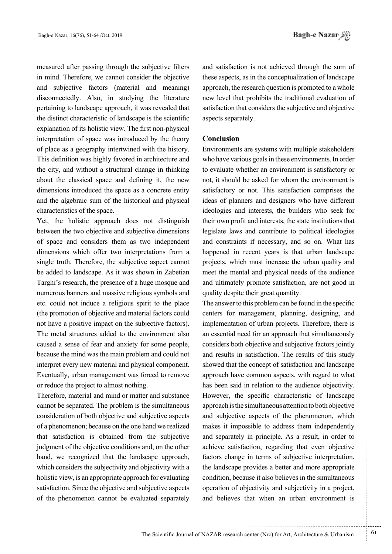measured after passing through the subjective filters in mind. Therefore, we cannot consider the objective and subjective factors (material and meaning) disconnectedly. Also, in studying the literature pertaining to landscape approach, it was revealed that the distinct characteristic of landscape is the scientific explanation of its holistic view. The first non-physical interpretation of space was introduced by the theory of place as a geography intertwined with the history. This definition was highly favored in architecture and the city, and without a structural change in thinking about the classical space and defining it, the new dimensions introduced the space as a concrete entity and the algebraic sum of the historical and physical characteristics of the space.

Yet, the holistic approach does not distinguish between the two objective and subjective dimensions of space and considers them as two independent dimensions which offer two interpretations from a single truth. Therefore, the subjective aspect cannot be added to landscape. As it was shown in Zabetian Targhi's research, the presence of a huge mosque and numerous banners and massive religious symbols and etc. could not induce a religious spirit to the place (the promotion of objective and material factors could not have a positive impact on the subjective factors). The metal structures added to the environment also caused a sense of fear and anxiety for some people, because the mind was the main problem and could not interpret every new material and physical component. Eventually, urban management was forced to remove or reduce the project to almost nothing.

Therefore, material and mind or matter and substance cannot be separated. The problem is the simultaneous consideration of both objective and subjective aspects of a phenomenon; because on the one hand we realized that satisfaction is obtained from the subjective judgment of the objective conditions and, on the other hand, we recognized that the landscape approach, which considers the subjectivity and objectivity with a holistic view, is an appropriate approach for evaluating satisfaction. Since the objective and subjective aspects. of the phenomenon cannot be evaluated separately

and satisfaction is not achieved through the sum of these aspects, as in the conceptualization of landscape approach, the research question is promoted to a whole new level that prohibits the traditional evaluation of satisfaction that considers the subjective and objective aspects separately.

# **Conclusion**

Environments are systems with multiple stakeholders who have various goals in these environments. In order to evaluate whether an environment is satisfactory or not, it should be asked for whom the environment is satisfactory or not. This satisfaction comprises the ideas of planners and designers who have different ideologies and interests, the builders who seek for their own profit and interests, the state institutions that legislate laws and contribute to political ideologies and constraints if necessary, and so on. What has happened in recent years is that urban landscape projects, which must increase the urban quality and meet the mental and physical needs of the audience and ultimately promote satisfaction, are not good in quality despite their great quantity.

The answer to this problem can be found in the specific centers for management, planning, designing, and implementation of urban projects. Therefore, there is an essential need for an approach that simultaneously considers both objective and subjective factors jointly and results in satisfaction. The results of this study showed that the concept of satisfaction and landscape approach have common aspects, with regard to what has been said in relation to the audience objectivity. However, the specific characteristic of landscape approach is the simultaneous attention to both objective and subjective aspects of the phenomenon, which makes it impossible to address them independently and separately in principle. As a result, in order to achieve satisfaction, regarding that even objective factors change in terms of subjective interpretation, the landscape provides a better and more appropriate condition, because it also believes in the simultaneous operation of objectivity and subjectivity in a project, and believes that when an urban environment is

.......... ....... ........ ........... ...... ....... ........ .......... ...........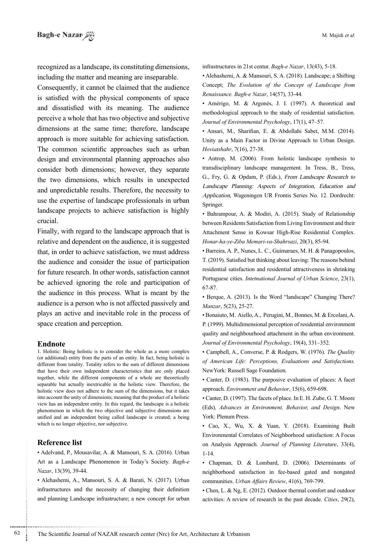recognized as a landscape, its constituting dimensions, including the matter and meaning are inseparable.

Consequently, it cannot be claimed that the audience is satisfied with the physical components of space and dissatisfied with its meaning. The audience perceive a whole that has two objective and subjective dimensions at the same time; therefore, landscape approach is more suitable for achieving satisfaction. The common scientific approaches such as urban design and environmental planning approaches also consider both dimensions; however, they separate the two dimensions, which results in unexpected and unpredictable results. Therefore, the necessity to use the expertise of landscape professionals in urban landscape projects to achieve satisfaction is highly .crucial

Finally, with regard to the landscape approach that is relative and dependent on the audience, it is suggested that, in order to achieve satisfaction, we must address the audience and consider the issue of participation for future research. In other words, satisfaction cannot be achieved ignoring the role and participation of the audience in this process. What is meant by the audience is a person who is not affected passively and plays an active and inevitable role in the process of space creation and perception.

#### **Endnote**

1. Holistic: Being holistic is to consider the whole as a more complex (or additional) entity from the parts of an entity. In fact, being holistic is different from totality. Totality refers to the sum of different dimensions that have their own independent characteristics that are only placed together, while the different components of a whole are theoretically separable but actually inextricable in the holistic view. Therefore, the holistic view does not adhere to the sum of the dimensions, but it takes into account the unity of dimensions; meaning that the product of a holistic view has an independent entity. In this regard, the landscape is a holistic phenomenon in which the two objective and subjective dimensions are unified and an independent being called landscape is created; a being which is no longer objective, nor subjective.

#### **Reference** list

• Adelvand, P., Mousavilar, A. & Mansouri, S. A. (2016). Urban Art as a Landscape Phenomenon in Today's Society. Bagh-e Nazar, 13(39), 39-44.

• Alehashemi, A., Mansouri, S. A. & Barati, N. (2017). Urban infrastructures and the necessity of changing their definition and planning Landscape infrastructure; a new concept for urban infrastructures in 21st centur. *Bagh-e Nazar*, 13(43), 5-18.

• Alehashemi, A. & Mansouri, S. A. (2018). Landscape; a Shifting Concept; The Evolution of the Concept of Landscape from Renaissance. Bagh-e Nazar, 14(57), 33-44.

• Amérigo, M. & Argonés, J. I. (1997). A theoretical and methodological approach to the study of residential satisfaction. Journal of Environmental Psychology, 17(1), 47–57.

• Ansari, M., Sharifian, E. & Abdollahi Sabet, M.M. (2014). Unity as a Main Factor in Divine Approach to Urban Design. Hoviatshahr, 7(16), 27-38.

• Antrop, M. (2006). From holistic landscape synthesis to transdisciplinary landscape management. In Tress, B., Tress, G., Fry, G. & Opdam, P. (Eds.), From Landscape Research to Landscape Planning: Aspects of Integration, Education and Application, Wageningen UR Frontis Series No. 12. Dordrecht: .Springer

• Bahrampour, A. & Modiri, A. (2015). Study of Relationship between Residents Satisfaction from Living Environment and their Attachment Sense in Kowsar High-Rise Residential Complex. 85-94. ,(3)20 ,*Shahrsazi-va-Memari Ziba-ye-ha-Honar*

• Barreira, A. P., Nunes, L. C., Guimaraes, M. H. & Panagopoulos, T. (2019). Satisfied but thinking about leaving: The reasons behind residential satisfaction and residential attractiveness in shrinking Portuguese cities. *Intetnational Journal of Urban Science*, 23(1), 67-87.

• Berque, A. (2013). Is the Word "landscape" Changing There? Manzar, 5(23), 25-27.

· Bonaiuto, M. Aiello, A., Perugini, M., Bonnes, M. & Ercolani, A. P. (1999). Multidimensional perception of residential environment quality and neighbourhood attachment in the urban environment. Journal of Environmental Psychology, 19(4), 331-352.

• Campbell, A., Converse, P. & Rodgers, W. (1976). The Quality of American Life: Perceptions, Evaluations and Satisfactions. NewYork: Russell Sage Foundation.

• Canter, D. (1983). The purposive evaluation of places: A facet approach. *Environment and Behavior*, 15(6), 659-698.

• Canter, D. (1997). The facets of place. In E. H. Zube, G. T. Moore (Eds), Advances in Environment, Behavior, and Design. New York: Plenum Press.

• Cao, X., Wu, X. & Yuan, Y. (2018). Examining Built Environmental Correlates of Neighborhood satisfaction: A Focus on Analysis Approach. Journal of Planning Literature, 33(4), 1-14.

• Chapman, D. & Lombard, D. (2006). Determinants of neighborhood satisfaction in fee-based gated and nongated communities. *Urban Affairs Review*, 41(6), 769-799.

• Chen, L. & Ng, E. (2012). Outdoor thermal comfort and outdoor activities: A review of research in the past decade. Cities, 29(2),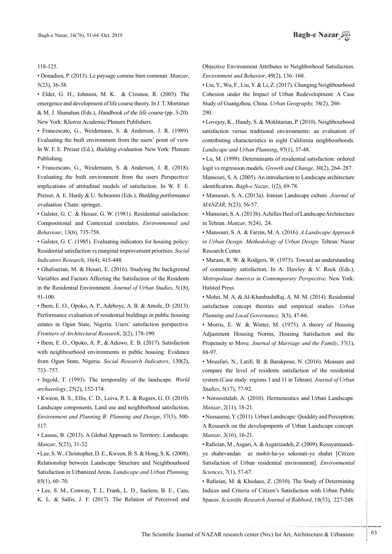118-125.

• Donadieu, P. (2013). Le paysage comme bien commun. *Manzar*,  $5(23)$ ,  $36-38$ .

 $\bullet$  Elder, G. H., Johnson, M. K. & Crosnoe, R. (2003). The emergence and development of life course theory. In J. T. Mortimer & M. J. Shanahan (Eds.), Handbook of the life course (pp. 3-20). New York: Kluwer Academic/Plenum Publishers.

· Francescato, G., Weidemann, S. & Anderson, J. R. (1989). Evaluating the built environment from the users' point of view. In W. F. E. Preiser (Ed.), *Building evaluation*. New York: Plenum Publishing.

• Francescato, G., Weidemann, S. & Anderson, J. R. (2018). Evaluating the built environment from the users Perspective: implications of attitudinal models of satisfaction. In W. F. E. Preiser, A. E. Hardy & U. Schramm (Eds.), Building performance evaluation. Cham: springer...

• Galster, G. C. & Hesser, G. W. (1981). Residential satisfaction: Compositional and Contextual correlates. Environmental and Behaviour, 13(6), 735-758.

• Galster, G. C. (1985). Evaluating indicators for housing policy: **Residential satisfaction vs marginal improvement priorities.** *Social* Indicators Research, 16(4), 415-448.

• Ghafourian, M. & Hesari, E. (2016). Studying the background Variables and Factors Affecting the Satisfaction of the Residents in the Residential Environment. *Journal of Urban Studies*, 5(18), 91-100.

 $\bullet$  Ibem, E. O., Opoko, A. P., Adeboye, A. B. & Amole, D. (2013). Performance evaluation of residential buildings in public housing estates in Ogun State, Nigeria: Users' satisfaction perspective. Frontiers of Architectural Research, 2(2), 178-190.

• Ibem, E. O., Opoko, A. P., & Aduwo, E. B. (2017). Satisfaction with neighbourhood environments in public housing: Evidence from Ogun State, Nigeria. Social Research Indicators, 130(2), 757.–733

• Ingold, T. (1993). The temporality of the landscape. *World* archaeology, 25(2), 152-174.

 $\bullet$  Kweon, B. S., Ellis, C. D., Leiva, P. L. & Rogers, G. O. (2010). Landscape components, Land use and neighborhood satisfaction, Environment and Planning B: Planning and Design, 37(3), 500-517.

• Lassus, B. (2013). A Global Approach to Territory: Landscape. *Manzar*, 5(23), 31-32.

 $\bullet$  Lee, S. W., Christopher, D. E., Kweon, B. S. & Hong, S. K. (2008). Relationship between Landscape Structure and Neighbourhood Satisfaction in Urbanized Areas. *Landscape and Urban Planning*,  $85(1), 60 - 70.$ 

• Lee, S. M., Conway, T. L, Frank, L. D., Saelens, B. E., Cain, K. L. & Sallis, J. F. (2017). The Relation of Perceived and

Objective Environment Attributes to Neighborhood Satisfaction. Environment and Behavior, 49(2), 136-160.

• Liu, Y., Wu, F., Liu, Y. & Li, Z. (2017). Changing Neighbourhood Cohesion under the Impact of Urban Redevelopment: A Case Study of Guangzhou, China. Urban Geography, 38(2), 266-290.

• Lovejoy, K., Handy, S. & Mokhtarian, P. (2010). Neighbourhood satisfaction versus traditional environments: an evaluation of contributing characteristics in eight California neighbourhoods. Landscape and Urban Planning, 97(1), 37-48.

• Lu, M. (1999). Determinants of residential satisfaction: ordered logit vs regression models. Growth and Change, 30(2), 264–287.

Mansouri, S. A. (2005). An introduction to Landscape architecture identification. *Bagh-e Nazar*, 1(2), 69-78.

• Mansouri, S. A. (2013a). Iranian Landscape culture. *Journal of* MANZAR, 5(23), 56-57.

• Mansouri, S. A. (2013b). Achilles Heel of Landscape Architecture in Tehran. *Manzar*, 5(24), 24.

• Mansouri, S. A. & Farzin, M. A. (2016). *A Landscape Approach* in Urban Design: Methodology of Urban Design. Tehran: Nazar Research Center.

• Marans, R. W. & Rodgers, W. (1975). Toward an understanding of community satisfaction, In A. Hawley & V. Rock (Eds.), Metropolitan America in Contemporary Perspective. New York: Halsted Press.

• Mohit, M. A. & Al-KhanbashiRaj, A. M. M. (2014). Residential satisfaction concept theories and empirical studies. *Urban* Planning and Local Governance, 3(3), 47-66.

• Morris, E. W. & Winter, M.  $(1975)$ . A theory of Housing Adjustment Housing Norms, Housing Satisfaction and the Propensity to Move. *Journal of Marriage and the Family*, 37(1), 88-97.

• Mozafari, N., Latifi, B. & Barakpour, N. (2016). Measure and compare the level of residents satisfaction of the residential system (Case study: regions 3 and 11 in Tehran). Journal of Urban Studies, 5(17), 77-92.

• Noroozitalab, A. (2010). Hermeneutics and Urban Landscape. *Manzar*, 2(11), 18-21.

• Nussaume, Y. (2011). Urban Landscape: Quiddity and Perception; A Research on the developmpents of Urban Landscape concept. *Manzar*, 3(16), 16-21.

ye shahrvandan az mohit-ha-ye sokonati-ye shahri [Citizen • Rafieian, M., Asgari, A. & Asgarizadeh, Z. (2009). Rezayatmandi-Satisfaction of Urban residential environment]. *Environmental* Sciences, 7(1), 57-67.

• Rafieian, M. & Khodaee, Z. (2010). The Study of Determining Indices and Criteria of Citizen's Satisfaction with Urban Public Spaces. Scientific Research Journal of Rahbord, 18(53), 227-248.

.......... ....... ........ ........... ...... ....... ........ .......... ...........